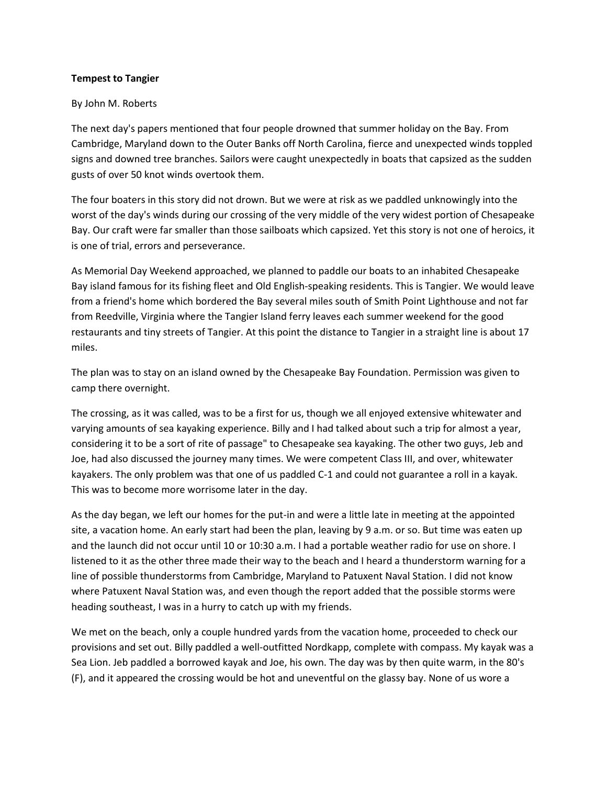## **Tempest to Tangier**

## By John M. Roberts

The next day's papers mentioned that four people drowned that summer holiday on the Bay. From Cambridge, Maryland down to the Outer Banks off North Carolina, fierce and unexpected winds toppled signs and downed tree branches. Sailors were caught unexpectedly in boats that capsized as the sudden gusts of over 50 knot winds overtook them.

The four boaters in this story did not drown. But we were at risk as we paddled unknowingly into the worst of the day's winds during our crossing of the very middle of the very widest portion of Chesapeake Bay. Our craft were far smaller than those sailboats which capsized. Yet this story is not one of heroics, it is one of trial, errors and perseverance.

As Memorial Day Weekend approached, we planned to paddle our boats to an inhabited Chesapeake Bay island famous for its fishing fleet and Old English-speaking residents. This is Tangier. We would leave from a friend's home which bordered the Bay several miles south of Smith Point Lighthouse and not far from Reedville, Virginia where the Tangier Island ferry leaves each summer weekend for the good restaurants and tiny streets of Tangier. At this point the distance to Tangier in a straight line is about 17 miles.

The plan was to stay on an island owned by the Chesapeake Bay Foundation. Permission was given to camp there overnight.

The crossing, as it was called, was to be a first for us, though we all enjoyed extensive whitewater and varying amounts of sea kayaking experience. Billy and I had talked about such a trip for almost a year, considering it to be a sort of rite of passage" to Chesapeake sea kayaking. The other two guys, Jeb and Joe, had also discussed the journey many times. We were competent Class III, and over, whitewater kayakers. The only problem was that one of us paddled C-1 and could not guarantee a roll in a kayak. This was to become more worrisome later in the day.

As the day began, we left our homes for the put-in and were a little late in meeting at the appointed site, a vacation home. An early start had been the plan, leaving by 9 a.m. or so. But time was eaten up and the launch did not occur until 10 or 10:30 a.m. I had a portable weather radio for use on shore. I listened to it as the other three made their way to the beach and I heard a thunderstorm warning for a line of possible thunderstorms from Cambridge, Maryland to Patuxent Naval Station. I did not know where Patuxent Naval Station was, and even though the report added that the possible storms were heading southeast, I was in a hurry to catch up with my friends.

We met on the beach, only a couple hundred yards from the vacation home, proceeded to check our provisions and set out. Billy paddled a well-outfitted Nordkapp, complete with compass. My kayak was a Sea Lion. Jeb paddled a borrowed kayak and Joe, his own. The day was by then quite warm, in the 80's (F), and it appeared the crossing would be hot and uneventful on the glassy bay. None of us wore a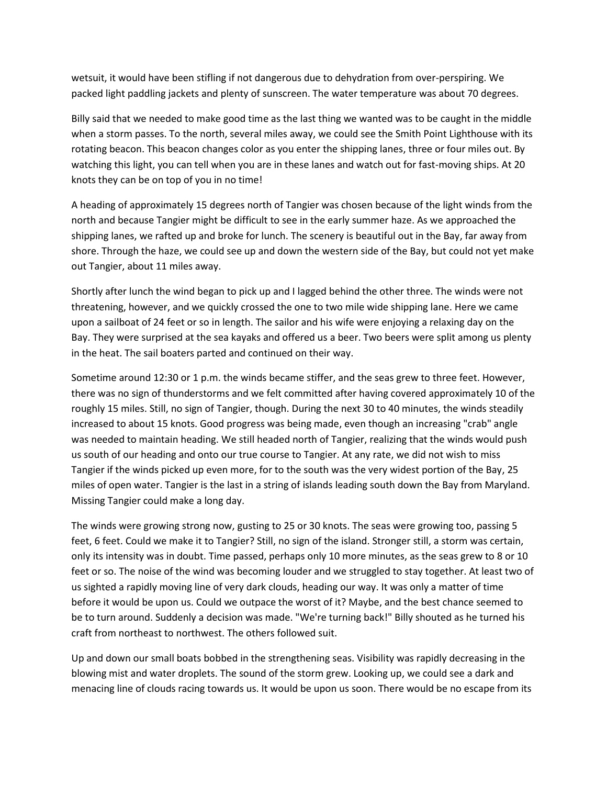wetsuit, it would have been stifling if not dangerous due to dehydration from over-perspiring. We packed light paddling jackets and plenty of sunscreen. The water temperature was about 70 degrees.

Billy said that we needed to make good time as the last thing we wanted was to be caught in the middle when a storm passes. To the north, several miles away, we could see the Smith Point Lighthouse with its rotating beacon. This beacon changes color as you enter the shipping lanes, three or four miles out. By watching this light, you can tell when you are in these lanes and watch out for fast-moving ships. At 20 knots they can be on top of you in no time!

A heading of approximately 15 degrees north of Tangier was chosen because of the light winds from the north and because Tangier might be difficult to see in the early summer haze. As we approached the shipping lanes, we rafted up and broke for lunch. The scenery is beautiful out in the Bay, far away from shore. Through the haze, we could see up and down the western side of the Bay, but could not yet make out Tangier, about 11 miles away.

Shortly after lunch the wind began to pick up and I lagged behind the other three. The winds were not threatening, however, and we quickly crossed the one to two mile wide shipping lane. Here we came upon a sailboat of 24 feet or so in length. The sailor and his wife were enjoying a relaxing day on the Bay. They were surprised at the sea kayaks and offered us a beer. Two beers were split among us plenty in the heat. The sail boaters parted and continued on their way.

Sometime around 12:30 or 1 p.m. the winds became stiffer, and the seas grew to three feet. However, there was no sign of thunderstorms and we felt committed after having covered approximately 10 of the roughly 15 miles. Still, no sign of Tangier, though. During the next 30 to 40 minutes, the winds steadily increased to about 15 knots. Good progress was being made, even though an increasing "crab" angle was needed to maintain heading. We still headed north of Tangier, realizing that the winds would push us south of our heading and onto our true course to Tangier. At any rate, we did not wish to miss Tangier if the winds picked up even more, for to the south was the very widest portion of the Bay, 25 miles of open water. Tangier is the last in a string of islands leading south down the Bay from Maryland. Missing Tangier could make a long day.

The winds were growing strong now, gusting to 25 or 30 knots. The seas were growing too, passing 5 feet, 6 feet. Could we make it to Tangier? Still, no sign of the island. Stronger still, a storm was certain, only its intensity was in doubt. Time passed, perhaps only 10 more minutes, as the seas grew to 8 or 10 feet or so. The noise of the wind was becoming louder and we struggled to stay together. At least two of us sighted a rapidly moving line of very dark clouds, heading our way. It was only a matter of time before it would be upon us. Could we outpace the worst of it? Maybe, and the best chance seemed to be to turn around. Suddenly a decision was made. "We're turning back!" Billy shouted as he turned his craft from northeast to northwest. The others followed suit.

Up and down our small boats bobbed in the strengthening seas. Visibility was rapidly decreasing in the blowing mist and water droplets. The sound of the storm grew. Looking up, we could see a dark and menacing line of clouds racing towards us. It would be upon us soon. There would be no escape from its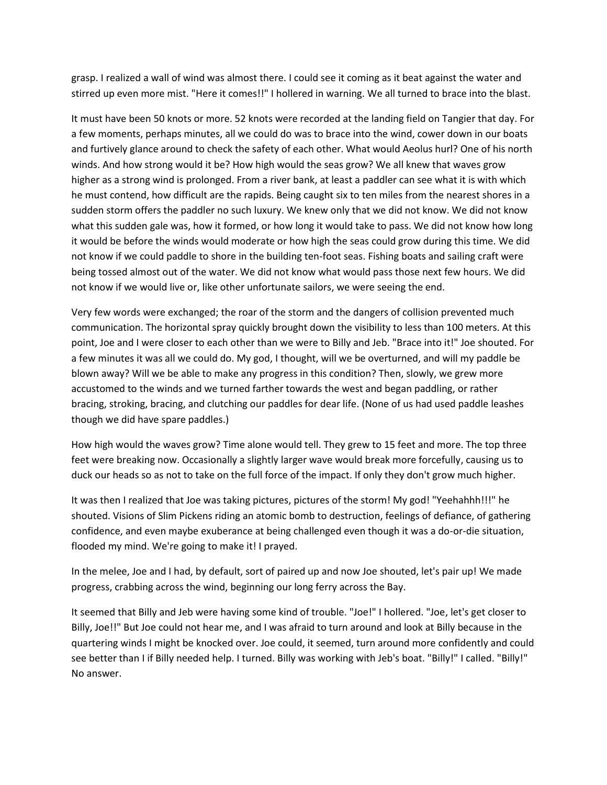grasp. I realized a wall of wind was almost there. I could see it coming as it beat against the water and stirred up even more mist. "Here it comes!!" I hollered in warning. We all turned to brace into the blast.

It must have been 50 knots or more. 52 knots were recorded at the landing field on Tangier that day. For a few moments, perhaps minutes, all we could do was to brace into the wind, cower down in our boats and furtively glance around to check the safety of each other. What would Aeolus hurl? One of his north winds. And how strong would it be? How high would the seas grow? We all knew that waves grow higher as a strong wind is prolonged. From a river bank, at least a paddler can see what it is with which he must contend, how difficult are the rapids. Being caught six to ten miles from the nearest shores in a sudden storm offers the paddler no such luxury. We knew only that we did not know. We did not know what this sudden gale was, how it formed, or how long it would take to pass. We did not know how long it would be before the winds would moderate or how high the seas could grow during this time. We did not know if we could paddle to shore in the building ten-foot seas. Fishing boats and sailing craft were being tossed almost out of the water. We did not know what would pass those next few hours. We did not know if we would live or, like other unfortunate sailors, we were seeing the end.

Very few words were exchanged; the roar of the storm and the dangers of collision prevented much communication. The horizontal spray quickly brought down the visibility to less than 100 meters. At this point, Joe and I were closer to each other than we were to Billy and Jeb. "Brace into it!" Joe shouted. For a few minutes it was all we could do. My god, I thought, will we be overturned, and will my paddle be blown away? Will we be able to make any progress in this condition? Then, slowly, we grew more accustomed to the winds and we turned farther towards the west and began paddling, or rather bracing, stroking, bracing, and clutching our paddles for dear life. (None of us had used paddle leashes though we did have spare paddles.)

How high would the waves grow? Time alone would tell. They grew to 15 feet and more. The top three feet were breaking now. Occasionally a slightly larger wave would break more forcefully, causing us to duck our heads so as not to take on the full force of the impact. If only they don't grow much higher.

It was then I realized that Joe was taking pictures, pictures of the storm! My god! "Yeehahhh!!!" he shouted. Visions of Slim Pickens riding an atomic bomb to destruction, feelings of defiance, of gathering confidence, and even maybe exuberance at being challenged even though it was a do-or-die situation, flooded my mind. We're going to make it! I prayed.

In the melee, Joe and I had, by default, sort of paired up and now Joe shouted, let's pair up! We made progress, crabbing across the wind, beginning our long ferry across the Bay.

It seemed that Billy and Jeb were having some kind of trouble. "Joe!" I hollered. "Joe, let's get closer to Billy, Joe!!" But Joe could not hear me, and I was afraid to turn around and look at Billy because in the quartering winds I might be knocked over. Joe could, it seemed, turn around more confidently and could see better than I if Billy needed help. I turned. Billy was working with Jeb's boat. "Billy!" I called. "Billy!" No answer.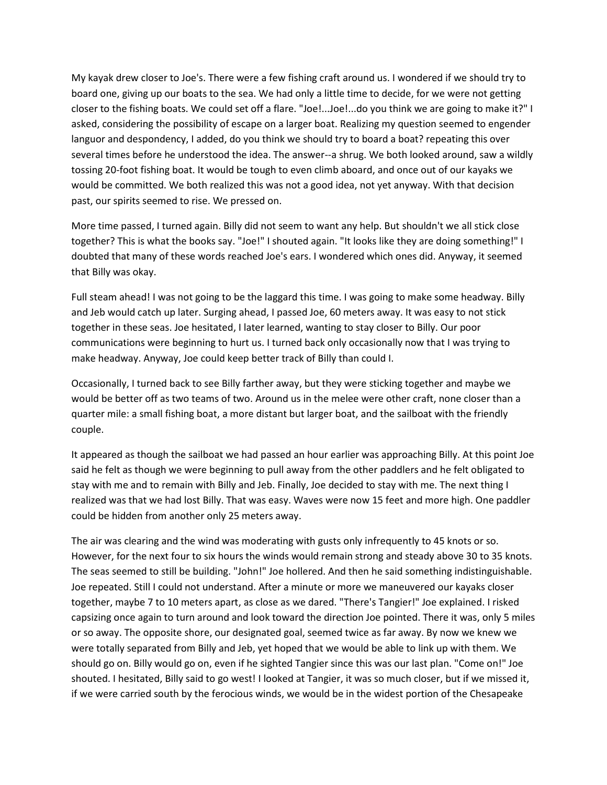My kayak drew closer to Joe's. There were a few fishing craft around us. I wondered if we should try to board one, giving up our boats to the sea. We had only a little time to decide, for we were not getting closer to the fishing boats. We could set off a flare. "Joe!...Joe!...do you think we are going to make it?" I asked, considering the possibility of escape on a larger boat. Realizing my question seemed to engender languor and despondency, I added, do you think we should try to board a boat? repeating this over several times before he understood the idea. The answer--a shrug. We both looked around, saw a wildly tossing 20-foot fishing boat. It would be tough to even climb aboard, and once out of our kayaks we would be committed. We both realized this was not a good idea, not yet anyway. With that decision past, our spirits seemed to rise. We pressed on.

More time passed, I turned again. Billy did not seem to want any help. But shouldn't we all stick close together? This is what the books say. "Joe!" I shouted again. "It looks like they are doing something!" I doubted that many of these words reached Joe's ears. I wondered which ones did. Anyway, it seemed that Billy was okay.

Full steam ahead! I was not going to be the laggard this time. I was going to make some headway. Billy and Jeb would catch up later. Surging ahead, I passed Joe, 60 meters away. It was easy to not stick together in these seas. Joe hesitated, I later learned, wanting to stay closer to Billy. Our poor communications were beginning to hurt us. I turned back only occasionally now that I was trying to make headway. Anyway, Joe could keep better track of Billy than could I.

Occasionally, I turned back to see Billy farther away, but they were sticking together and maybe we would be better off as two teams of two. Around us in the melee were other craft, none closer than a quarter mile: a small fishing boat, a more distant but larger boat, and the sailboat with the friendly couple.

It appeared as though the sailboat we had passed an hour earlier was approaching Billy. At this point Joe said he felt as though we were beginning to pull away from the other paddlers and he felt obligated to stay with me and to remain with Billy and Jeb. Finally, Joe decided to stay with me. The next thing I realized was that we had lost Billy. That was easy. Waves were now 15 feet and more high. One paddler could be hidden from another only 25 meters away.

The air was clearing and the wind was moderating with gusts only infrequently to 45 knots or so. However, for the next four to six hours the winds would remain strong and steady above 30 to 35 knots. The seas seemed to still be building. "John!" Joe hollered. And then he said something indistinguishable. Joe repeated. Still I could not understand. After a minute or more we maneuvered our kayaks closer together, maybe 7 to 10 meters apart, as close as we dared. "There's Tangier!" Joe explained. I risked capsizing once again to turn around and look toward the direction Joe pointed. There it was, only 5 miles or so away. The opposite shore, our designated goal, seemed twice as far away. By now we knew we were totally separated from Billy and Jeb, yet hoped that we would be able to link up with them. We should go on. Billy would go on, even if he sighted Tangier since this was our last plan. "Come on!" Joe shouted. I hesitated, Billy said to go west! I looked at Tangier, it was so much closer, but if we missed it, if we were carried south by the ferocious winds, we would be in the widest portion of the Chesapeake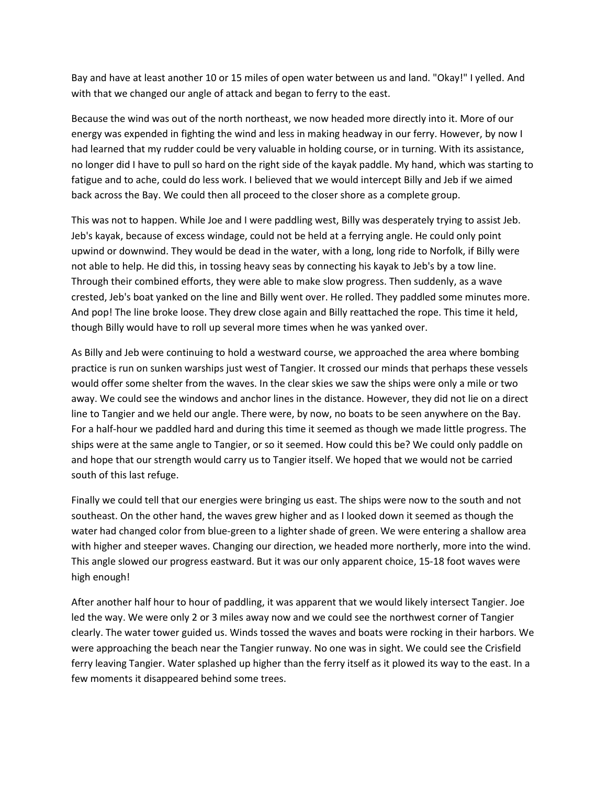Bay and have at least another 10 or 15 miles of open water between us and land. "Okay!" I yelled. And with that we changed our angle of attack and began to ferry to the east.

Because the wind was out of the north northeast, we now headed more directly into it. More of our energy was expended in fighting the wind and less in making headway in our ferry. However, by now I had learned that my rudder could be very valuable in holding course, or in turning. With its assistance, no longer did I have to pull so hard on the right side of the kayak paddle. My hand, which was starting to fatigue and to ache, could do less work. I believed that we would intercept Billy and Jeb if we aimed back across the Bay. We could then all proceed to the closer shore as a complete group.

This was not to happen. While Joe and I were paddling west, Billy was desperately trying to assist Jeb. Jeb's kayak, because of excess windage, could not be held at a ferrying angle. He could only point upwind or downwind. They would be dead in the water, with a long, long ride to Norfolk, if Billy were not able to help. He did this, in tossing heavy seas by connecting his kayak to Jeb's by a tow line. Through their combined efforts, they were able to make slow progress. Then suddenly, as a wave crested, Jeb's boat yanked on the line and Billy went over. He rolled. They paddled some minutes more. And pop! The line broke loose. They drew close again and Billy reattached the rope. This time it held, though Billy would have to roll up several more times when he was yanked over.

As Billy and Jeb were continuing to hold a westward course, we approached the area where bombing practice is run on sunken warships just west of Tangier. It crossed our minds that perhaps these vessels would offer some shelter from the waves. In the clear skies we saw the ships were only a mile or two away. We could see the windows and anchor lines in the distance. However, they did not lie on a direct line to Tangier and we held our angle. There were, by now, no boats to be seen anywhere on the Bay. For a half-hour we paddled hard and during this time it seemed as though we made little progress. The ships were at the same angle to Tangier, or so it seemed. How could this be? We could only paddle on and hope that our strength would carry us to Tangier itself. We hoped that we would not be carried south of this last refuge.

Finally we could tell that our energies were bringing us east. The ships were now to the south and not southeast. On the other hand, the waves grew higher and as I looked down it seemed as though the water had changed color from blue-green to a lighter shade of green. We were entering a shallow area with higher and steeper waves. Changing our direction, we headed more northerly, more into the wind. This angle slowed our progress eastward. But it was our only apparent choice, 15-18 foot waves were high enough!

After another half hour to hour of paddling, it was apparent that we would likely intersect Tangier. Joe led the way. We were only 2 or 3 miles away now and we could see the northwest corner of Tangier clearly. The water tower guided us. Winds tossed the waves and boats were rocking in their harbors. We were approaching the beach near the Tangier runway. No one was in sight. We could see the Crisfield ferry leaving Tangier. Water splashed up higher than the ferry itself as it plowed its way to the east. In a few moments it disappeared behind some trees.